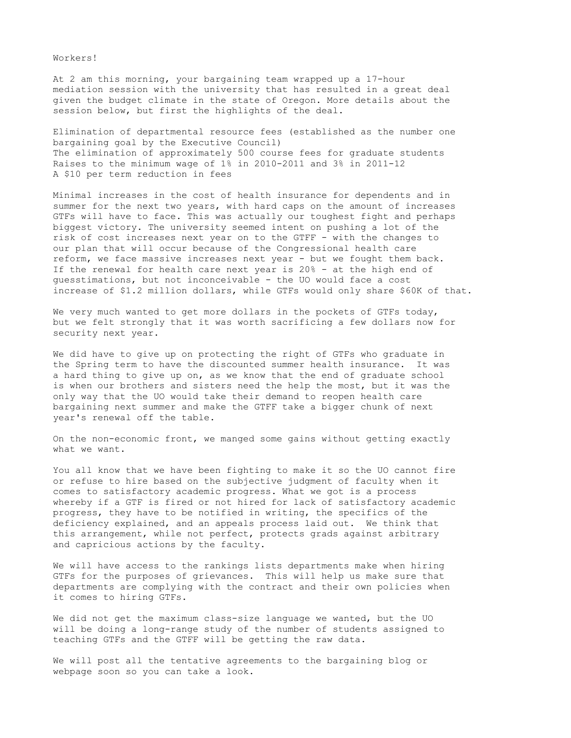Workers!

At 2 am this morning, your bargaining team wrapped up a 17-hour mediation session with the university that has resulted in a great deal given the budget climate in the state of Oregon. More details about the session below, but first the highlights of the deal.

Elimination of departmental resource fees (established as the number one bargaining goal by the Executive Council) The elimination of approximately 500 course fees for graduate students Raises to the minimum wage of 1% in 2010-2011 and 3% in 2011-12 A \$10 per term reduction in fees

Minimal increases in the cost of health insurance for dependents and in summer for the next two years, with hard caps on the amount of increases GTFs will have to face. This was actually our toughest fight and perhaps biggest victory. The university seemed intent on pushing a lot of the risk of cost increases next year on to the GTFF - with the changes to our plan that will occur because of the Congressional health care reform, we face massive increases next year - but we fought them back. If the renewal for health care next year is 20% - at the high end of guesstimations, but not inconceivable - the UO would face a cost increase of \$1.2 million dollars, while GTFs would only share \$60K of that.

We very much wanted to get more dollars in the pockets of GTFs today, but we felt strongly that it was worth sacrificing a few dollars now for security next year.

We did have to give up on protecting the right of GTFs who graduate in the Spring term to have the discounted summer health insurance. It was a hard thing to give up on, as we know that the end of graduate school is when our brothers and sisters need the help the most, but it was the only way that the UO would take their demand to reopen health care bargaining next summer and make the GTFF take a bigger chunk of next year's renewal off the table.

On the non-economic front, we manged some gains without getting exactly what we want.

You all know that we have been fighting to make it so the UO cannot fire or refuse to hire based on the subjective judgment of faculty when it comes to satisfactory academic progress. What we got is a process whereby if a GTF is fired or not hired for lack of satisfactory academic progress, they have to be notified in writing, the specifics of the deficiency explained, and an appeals process laid out. We think that this arrangement, while not perfect, protects grads against arbitrary and capricious actions by the faculty.

We will have access to the rankings lists departments make when hiring GTFs for the purposes of grievances. This will help us make sure that departments are complying with the contract and their own policies when it comes to hiring GTFs.

We did not get the maximum class-size language we wanted, but the UO will be doing a long-range study of the number of students assigned to teaching GTFs and the GTFF will be getting the raw data.

We will post all the tentative agreements to the bargaining blog or webpage soon so you can take a look.